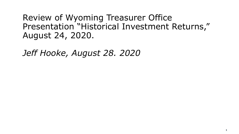Review of Wyoming Treasurer Office Presentation "Historical Investment Returns," August 24, 2020.

*Jeff Hooke, August 28. 2020*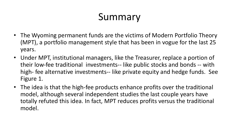## Summary

- The Wyoming permanent funds are the victims of Modern Portfolio Theory (MPT), a portfolio management style that has been in vogue for the last 25 years.
- Under MPT, institutional managers, like the Treasurer, replace a portion of their low-fee traditional investments-- like public stocks and bonds -- with high- fee alternative investments-- like private equity and hedge funds. See Figure 1.
- The idea is that the high-fee products enhance profits over the traditional model, although several independent studies the last couple years have totally refuted this idea. In fact, MPT reduces profits versus the traditional model.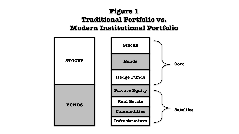#### **Figure 1 Traditional Portfolio vs. Modern Institutional Portfolio**

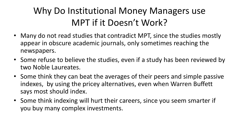#### Why Do Institutional Money Managers use MPT if it Doesn't Work?

- Many do not read studies that contradict MPT, since the studies mostly appear in obscure academic journals, only sometimes reaching the newspapers.
- Some refuse to believe the studies, even if a study has been reviewed by two Noble Laureates.
- Some think they can beat the averages of their peers and simple passive indexes, by using the pricey alternatives, even when Warren Buffett says most should index.
- Some think indexing will hurt their careers, since you seem smarter if you buy many complex investments.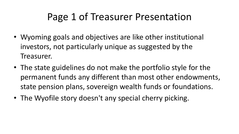### Page 1 of Treasurer Presentation

- Wyoming goals and objectives are like other institutional investors, not particularly unique as suggested by the Treasurer.
- The state guidelines do not make the portfolio style for the permanent funds any different than most other endowments, state pension plans, sovereign wealth funds or foundations.
- The Wyofile story doesn't any special cherry picking.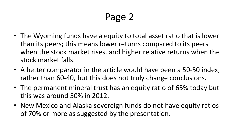- The Wyoming funds have a equity to total asset ratio that is lower than its peers; this means lower returns compared to its peers when the stock market rises, and higher relative returns when the stock market falls.
- A better comparator in the article would have been a 50-50 index, rather than 60-40, but this does not truly change conclusions.
- The permanent mineral trust has an equity ratio of 65% today but this was around 50% in 2012.
- New Mexico and Alaska sovereign funds do not have equity ratios of 70% or more as suggested by the presentation.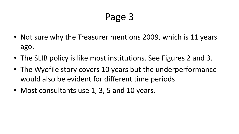- Not sure why the Treasurer mentions 2009, which is 11 years ago.
- The SLIB policy is like most institutions. See Figures 2 and 3.
- The Wyofile story covers 10 years but the underperformance would also be evident for different time periods.
- Most consultants use 1, 3, 5 and 10 years.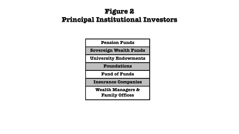#### **Figure 2 Principal Institutional Investors**

| <b>Pension Funds</b>                                  |
|-------------------------------------------------------|
| Sovereign Wealth Funds                                |
| <b>University Endowments</b>                          |
| <b>Foundations</b>                                    |
| <b>Fund of Funds</b>                                  |
| <b>Insurance Companies</b>                            |
| <b>Wealth Managers &amp;</b><br><b>Family Offices</b> |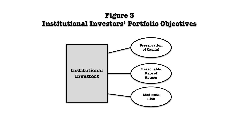#### **Figure 3 Institutional Investors' Portfolio Objectives**

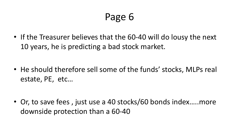• If the Treasurer believes that the 60-40 will do lousy the next 10 years, he is predicting a bad stock market.

• He should therefore sell some of the funds' stocks, MLPs real estate, PE, etc...

• Or, to save fees, just use a 40 stocks/60 bonds index.....more downside protection than a 60-40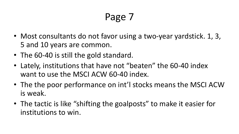- Most consultants do not favor using a two-year yardstick. 1, 3, 5 and 10 years are common.
- The 60-40 is still the gold standard.
- Lately, institutions that have not "beaten" the 60-40 index want to use the MSCI ACW 60-40 index.
- The the poor performance on int'l stocks means the MSCI ACW is weak.
- The tactic is like "shifting the goalposts" to make it easier for institutions to win.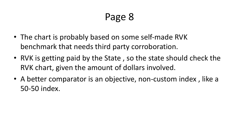- The chart is probably based on some self-made RVK benchmark that needs third party corroboration.
- RVK is getting paid by the State, so the state should check the RVK chart, given the amount of dollars involved.
- A better comparator is an objective, non-custom index, like a 50-50 index.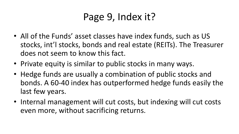## Page 9, Index it?

- All of the Funds' asset classes have index funds, such as US stocks, int'l stocks, bonds and real estate (REITs). The Treasurer does not seem to know this fact.
- Private equity is similar to public stocks in many ways.
- Hedge funds are usually a combination of public stocks and bonds. A 60-40 index has outperformed hedge funds easily the last few years.
- Internal management will cut costs, but indexing will cut costs even more, without sacrificing returns.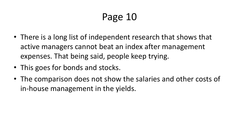- There is a long list of independent research that shows that active managers cannot beat an index after management expenses. That being said, people keep trying.
- This goes for bonds and stocks.
- The comparison does not show the salaries and other costs of in-house management in the yields.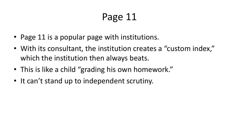- Page 11 is a popular page with institutions.
- With its consultant, the institution creates a "custom index," which the institution then always beats.
- This is like a child "grading his own homework."
- It can't stand up to independent scrutiny.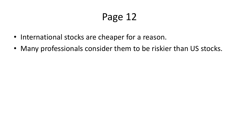- International stocks are cheaper for a reason.
- Many professionals consider them to be riskier than US stocks.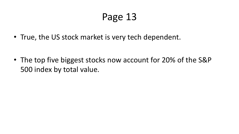• True, the US stock market is very tech dependent.

• The top five biggest stocks now account for 20% of the S&P 500 index by total value.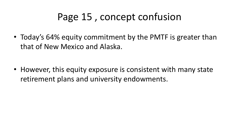### Page 15, concept confusion

• Today's 64% equity commitment by the PMTF is greater than that of New Mexico and Alaska.

• However, this equity exposure is consistent with many state retirement plans and university endowments.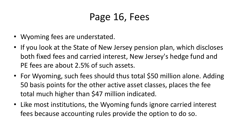## Page 16, Fees

- Wyoming fees are understated.
- If you look at the State of New Jersey pension plan, which discloses both fixed fees and carried interest, New Jersey's hedge fund and PE fees are about 2.5% of such assets.
- For Wyoming, such fees should thus total \$50 million alone. Adding 50 basis points for the other active asset classes, places the fee total much higher than \$47 million indicated.
- Like most institutions, the Wyoming funds ignore carried interest fees because accounting rules provide the option to do so.